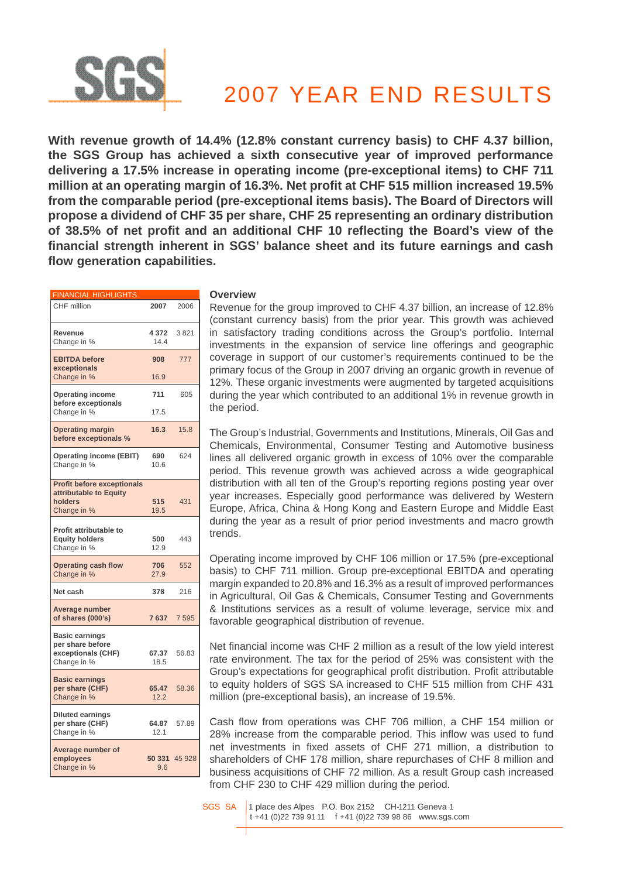

# 2007 YEAR END RESULTS

**With revenue growth of 14.4% (12.8% constant currency basis) to CHF 4.37 billion, the SGS Group has achieved a sixth consecutive year of improved performance delivering a 17.5% increase in operating income (pre-exceptional items) to CHF 711 million at an operating margin of 16.3%. Net profit at CHF 515 million increased 19.5% from the comparable period (pre-exceptional items basis). The Board of Directors will propose a dividend of CHF 35 per share, CHF 25 representing an ordinary distribution of 38.5% of net profit and an additional CHF 10 reflecting the Board's view of the financial strength inherent in SGS' balance sheet and its future earnings and cash flow generation capabilities.**

| <b>FINANCIAL HIGHLIGHTS</b>                                                           |                 |               |
|---------------------------------------------------------------------------------------|-----------------|---------------|
| CHF million                                                                           | 2007            | 2006          |
| Revenue<br>Change in %                                                                | 4 3 7 2<br>14.4 | 3821          |
| <b>EBITDA</b> before<br>exceptionals                                                  | 908             | 777           |
| Change in %                                                                           | 16.9            |               |
| <b>Operating income</b><br>before exceptionals                                        | 711             | 605           |
| Change in %                                                                           | 17.5            |               |
| <b>Operating margin</b><br>before exceptionals %                                      | 16.3            | 15.8          |
| <b>Operating income (EBIT)</b><br>Change in %                                         | 690<br>10.6     | 624           |
| <b>Profit before exceptionals</b><br>attributable to Equity<br>holders<br>Change in % | 515<br>19.5     | 431           |
| Profit attributable to<br><b>Equity holders</b><br>Change in %                        | 500<br>12.9     | 443           |
| <b>Operating cash flow</b><br>Change in %                                             | 706<br>27.9     | 552           |
| Net cash                                                                              | 378             | 216           |
| Average number<br>of shares (000's)                                                   | 7637            | 7 5 9 5       |
| <b>Basic earnings</b><br>per share before<br>exceptionals (CHF)<br>Change in %        | 67.37<br>18.5   | 56.83         |
| <b>Basic earnings</b><br>per share (CHF)<br>Change in %                               | 65.47<br>12.2   | 58.36         |
| <b>Diluted earnings</b><br>per share (CHF)<br>Change in %                             | 64.87<br>12.1   | 57.89         |
| Average number of<br>employees<br>Change in %                                         | 9.6             | 50 331 45 928 |

#### **Overview**

Revenue for the group improved to CHF 4.37 billion, an increase of 12.8% (constant currency basis) from the prior year. This growth was achieved in satisfactory trading conditions across the Group's portfolio. Internal investments in the expansion of service line offerings and geographic coverage in support of our customer's requirements continued to be the primary focus of the Group in 2007 driving an organic growth in revenue of 12%. These organic investments were augmented by targeted acquisitions during the year which contributed to an additional 1% in revenue growth in the period.

The Group's Industrial, Governments and Institutions, Minerals, Oil Gas and Chemicals, Environmental, Consumer Testing and Automotive business lines all delivered organic growth in excess of 10% over the comparable period. This revenue growth was achieved across a wide geographical distribution with all ten of the Group's reporting regions posting year over year increases. Especially good performance was delivered by Western Europe, Africa, China & Hong Kong and Eastern Europe and Middle East during the year as a result of prior period investments and macro growth trends.

Operating income improved by CHF 106 million or 17.5% (pre-exceptional basis) to CHF 711 million. Group pre-exceptional EBITDA and operating margin expanded to 20.8% and 16.3% as a result of improved performances in Agricultural, Oil Gas & Chemicals, Consumer Testing and Governments & Institutions services as a result of volume leverage, service mix and favorable geographical distribution of revenue.

Net financial income was CHF 2 million as a result of the low yield interest rate environment. The tax for the period of 25% was consistent with the Group's expectations for geographical profit distribution. Profit attributable to equity holders of SGS SA increased to CHF 515 million from CHF 431 million (pre-exceptional basis), an increase of 19.5%.

Cash flow from operations was CHF 706 million, a CHF 154 million or 28% increase from the comparable period. This inflow was used to fund net investments in fixed assets of CHF 271 million, a distribution to shareholders of CHF 178 million, share repurchases of CHF 8 million and business acquisitions of CHF 72 million. As a result Group cash increased from CHF 230 to CHF 429 million during the period.

SGS SA 1 place des Alpes P.O. Box 2152 CH-1211 Geneva 1 t +41 (0)22 739 91 11 f +41 (0)22 739 98 86 www.sgs.com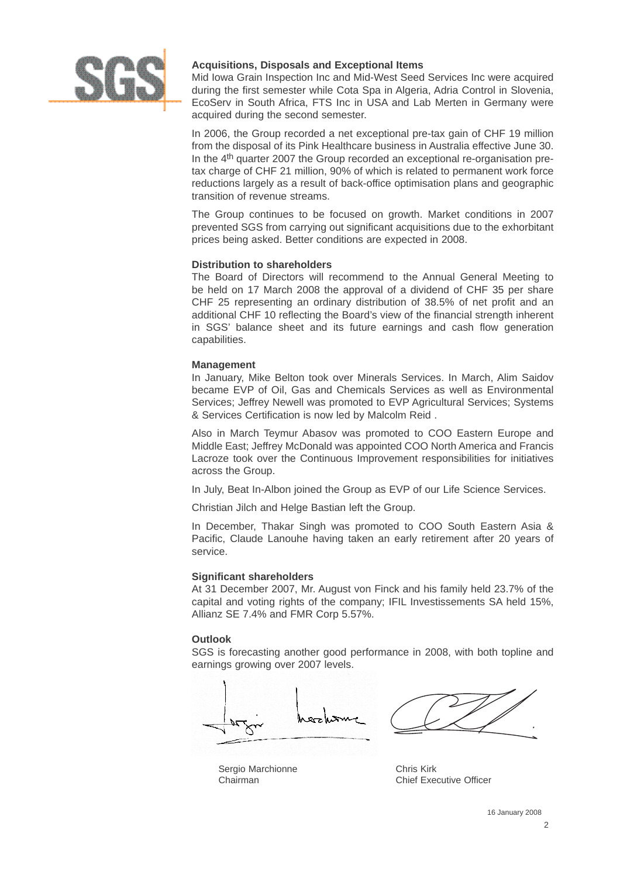

## **Acquisitions, Disposals and Exceptional Items**

Mid Iowa Grain Inspection Inc and Mid-West Seed Services Inc were acquired during the first semester while Cota Spa in Algeria, Adria Control in Slovenia, EcoServ in South Africa, FTS Inc in USA and Lab Merten in Germany were acquired during the second semester.

In 2006, the Group recorded a net exceptional pre-tax gain of CHF 19 million from the disposal of its Pink Healthcare business in Australia effective June 30. In the 4<sup>th</sup> quarter 2007 the Group recorded an exceptional re-organisation pretax charge of CHF 21 million, 90% of which is related to permanent work force reductions largely as a result of back-office optimisation plans and geographic transition of revenue streams.

The Group continues to be focused on growth. Market conditions in 2007 prevented SGS from carrying out significant acquisitions due to the exhorbitant prices being asked. Better conditions are expected in 2008.

## **Distribution to shareholders**

The Board of Directors will recommend to the Annual General Meeting to be held on 17 March 2008 the approval of a dividend of CHF 35 per share CHF 25 representing an ordinary distribution of 38.5% of net profit and an additional CHF 10 reflecting the Board's view of the financial strength inherent in SGS' balance sheet and its future earnings and cash flow generation capabilities.

## **Management**

In January, Mike Belton took over Minerals Services. In March, Alim Saidov became EVP of Oil, Gas and Chemicals Services as well as Environmental Services; Jeffrey Newell was promoted to EVP Agricultural Services; Systems & Services Certification is now led by Malcolm Reid .

Also in March Teymur Abasov was promoted to COO Eastern Europe and Middle East; Jeffrey McDonald was appointed COO North America and Francis Lacroze took over the Continuous Improvement responsibilities for initiatives across the Group.

In July, Beat In-Albon joined the Group as EVP of our Life Science Services.

Christian Jilch and Helge Bastian left the Group.

In December, Thakar Singh was promoted to COO South Eastern Asia & Pacific, Claude Lanouhe having taken an early retirement after 20 years of service.

## **Significant shareholders**

At 31 December 2007, Mr. August von Finck and his family held 23.7% of the capital and voting rights of the company; IFIL Investissements SA held 15%, Allianz SE 7.4% and FMR Corp 5.57%.

## **Outlook**

SGS is forecasting another good performance in 2008, with both topline and earnings growing over 2007 levels.



Sergio Marchionne Chairman

Chris Kirk Chief Executive Officer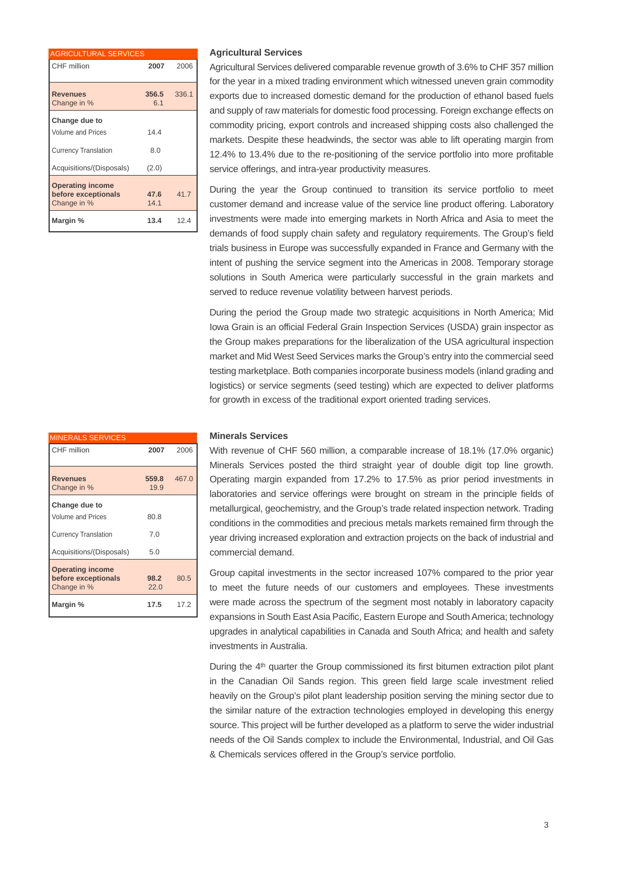| <b>AGRICULTURAL SERVICES</b>                                  |              |       |
|---------------------------------------------------------------|--------------|-------|
| CHF million                                                   | 2007         | 2006  |
| <b>Revenues</b><br>Change in %                                | 356.5<br>6.1 | 336.1 |
| Change due to<br><b>Volume and Prices</b>                     | 144          |       |
| <b>Currency Translation</b>                                   | 8.0          |       |
| Acquisitions/(Disposals)                                      | (2.0)        |       |
| <b>Operating income</b><br>before exceptionals<br>Change in % | 47.6<br>14.1 | 41.7  |
| Margin %                                                      | 13.4         | 124   |

## MINERALS SERVICES CHF million **2007** 2006 **Revenues 559.8** 467.0 Change in % 19.9 **Change due to** Volume and Prices 80.8 Currency Translation 7.0 Acquisitions/(Disposals) 5.0 **Operating income before exceptionals 98.2** 80.5 Change in % 22.0 **Margin % 17.5** 17.2

#### **Agricultural Services**

Agricultural Services delivered comparable revenue growth of 3.6% to CHF 357 million for the year in a mixed trading environment which witnessed uneven grain commodity exports due to increased domestic demand for the production of ethanol based fuels and supply of raw materials for domestic food processing. Foreign exchange effects on commodity pricing, export controls and increased shipping costs also challenged the markets. Despite these headwinds, the sector was able to lift operating margin from 12.4% to 13.4% due to the re-positioning of the service portfolio into more profitable service offerings, and intra-year productivity measures.

During the year the Group continued to transition its service portfolio to meet customer demand and increase value of the service line product offering. Laboratory investments were made into emerging markets in North Africa and Asia to meet the demands of food supply chain safety and regulatory requirements. The Group's field trials business in Europe was successfully expanded in France and Germany with the intent of pushing the service segment into the Americas in 2008. Temporary storage solutions in South America were particularly successful in the grain markets and served to reduce revenue volatility between harvest periods.

During the period the Group made two strategic acquisitions in North America; Mid Iowa Grain is an official Federal Grain Inspection Services (USDA) grain inspector as the Group makes preparations for the liberalization of the USA agricultural inspection market and Mid West Seed Services marks the Group's entry into the commercial seed testing marketplace. Both companies incorporate business models (inland grading and logistics) or service segments (seed testing) which are expected to deliver platforms for growth in excess of the traditional export oriented trading services.

#### **Minerals Services**

With revenue of CHF 560 million, a comparable increase of 18.1% (17.0% organic) Minerals Services posted the third straight year of double digit top line growth. Operating margin expanded from 17.2% to 17.5% as prior period investments in laboratories and service offerings were brought on stream in the principle fields of metallurgical, geochemistry, and the Group's trade related inspection network. Trading conditions in the commodities and precious metals markets remained firm through the year driving increased exploration and extraction projects on the back of industrial and commercial demand.

Group capital investments in the sector increased 107% compared to the prior year to meet the future needs of our customers and employees. These investments were made across the spectrum of the segment most notably in laboratory capacity expansions in South East Asia Pacific, Eastern Europe and South America; technology upgrades in analytical capabilities in Canada and South Africa; and health and safety investments in Australia.

During the 4<sup>th</sup> quarter the Group commissioned its first bitumen extraction pilot plant in the Canadian Oil Sands region. This green field large scale investment relied heavily on the Group's pilot plant leadership position serving the mining sector due to the similar nature of the extraction technologies employed in developing this energy source. This project will be further developed as a platform to serve the wider industrial needs of the Oil Sands complex to include the Environmental, Industrial, and Oil Gas & Chemicals services offered in the Group's service portfolio.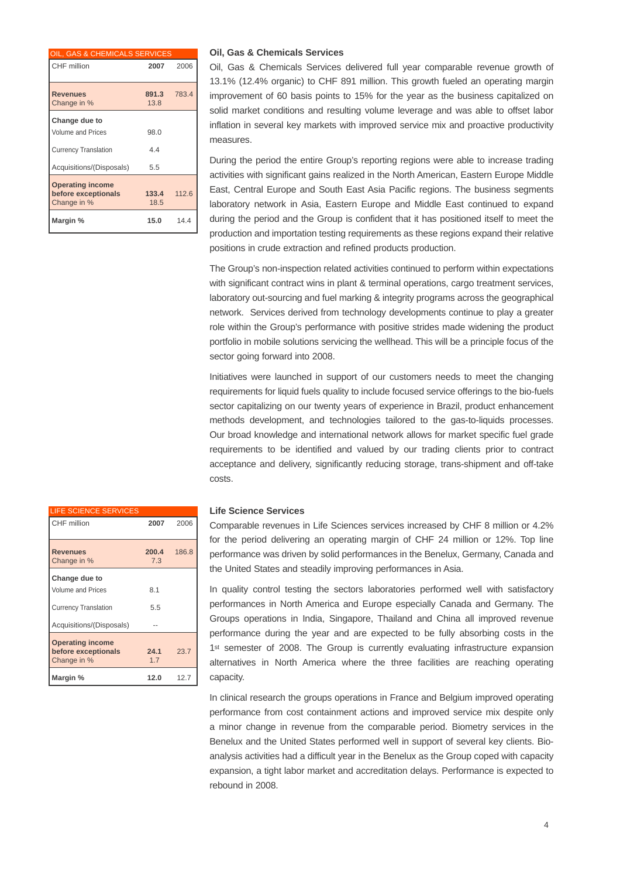| OIL, GAS & CHEMICALS SERVICES                                            |               |       |
|--------------------------------------------------------------------------|---------------|-------|
| CHF million                                                              | 2007          | 2006  |
| <b>Revenues</b><br>Change in %                                           | 891.3<br>13.8 | 783.4 |
| Change due to<br><b>Volume and Prices</b><br><b>Currency Translation</b> | 98.0<br>4.4   |       |
| Acquisitions/(Disposals)                                                 | 5.5           |       |
| <b>Operating income</b><br>before exceptionals<br>Change in %            | 133.4<br>18.5 | 112.6 |
| Margin %                                                                 | 15.0          | 14.4  |

#### **Oil, Gas & Chemicals Services**

Oil, Gas & Chemicals Services delivered full year comparable revenue growth of 13.1% (12.4% organic) to CHF 891 million. This growth fueled an operating margin improvement of 60 basis points to 15% for the year as the business capitalized on solid market conditions and resulting volume leverage and was able to offset labor inflation in several key markets with improved service mix and proactive productivity measures.

During the period the entire Group's reporting regions were able to increase trading activities with significant gains realized in the North American, Eastern Europe Middle East, Central Europe and South East Asia Pacific regions. The business segments laboratory network in Asia, Eastern Europe and Middle East continued to expand during the period and the Group is confident that it has positioned itself to meet the production and importation testing requirements as these regions expand their relative positions in crude extraction and refined products production.

The Group's non-inspection related activities continued to perform within expectations with significant contract wins in plant & terminal operations, cargo treatment services, laboratory out-sourcing and fuel marking & integrity programs across the geographical network. Services derived from technology developments continue to play a greater role within the Group's performance with positive strides made widening the product portfolio in mobile solutions servicing the wellhead. This will be a principle focus of the sector going forward into 2008.

Initiatives were launched in support of our customers needs to meet the changing requirements for liquid fuels quality to include focused service offerings to the bio-fuels sector capitalizing on our twenty years of experience in Brazil, product enhancement methods development, and technologies tailored to the gas-to-liquids processes. Our broad knowledge and international network allows for market specific fuel grade requirements to be identified and valued by our trading clients prior to contract acceptance and delivery, significantly reducing storage, trans-shipment and off-take costs.

## **Life Science Services**

Comparable revenues in Life Sciences services increased by CHF 8 million or 4.2% for the period delivering an operating margin of CHF 24 million or 12%. Top line performance was driven by solid performances in the Benelux, Germany, Canada and the United States and steadily improving performances in Asia.

In quality control testing the sectors laboratories performed well with satisfactory performances in North America and Europe especially Canada and Germany. The Groups operations in India, Singapore, Thailand and China all improved revenue performance during the year and are expected to be fully absorbing costs in the 1<sup>st</sup> semester of 2008. The Group is currently evaluating infrastructure expansion alternatives in North America where the three facilities are reaching operating capacity.

In clinical research the groups operations in France and Belgium improved operating performance from cost containment actions and improved service mix despite only a minor change in revenue from the comparable period. Biometry services in the Benelux and the United States performed well in support of several key clients. Bioanalysis activities had a difficult year in the Benelux as the Group coped with capacity expansion, a tight labor market and accreditation delays. Performance is expected to rebound in 2008.

| <b>LIFE SCIENCE SERVICES</b>                                  |              |       |
|---------------------------------------------------------------|--------------|-------|
| CHF million                                                   | 2007         | 2006  |
| <b>Revenues</b><br>Change in %                                | 200.4<br>7.3 | 186.8 |
| Change due to                                                 |              |       |
| <b>Volume and Prices</b>                                      | 8.1          |       |
| <b>Currency Translation</b>                                   | 5.5          |       |
| Acquisitions/(Disposals)                                      |              |       |
| <b>Operating income</b><br>before exceptionals<br>Change in % | 24.1<br>1.7  | 23.7  |
| Margin %                                                      | 12.0         | 12.7  |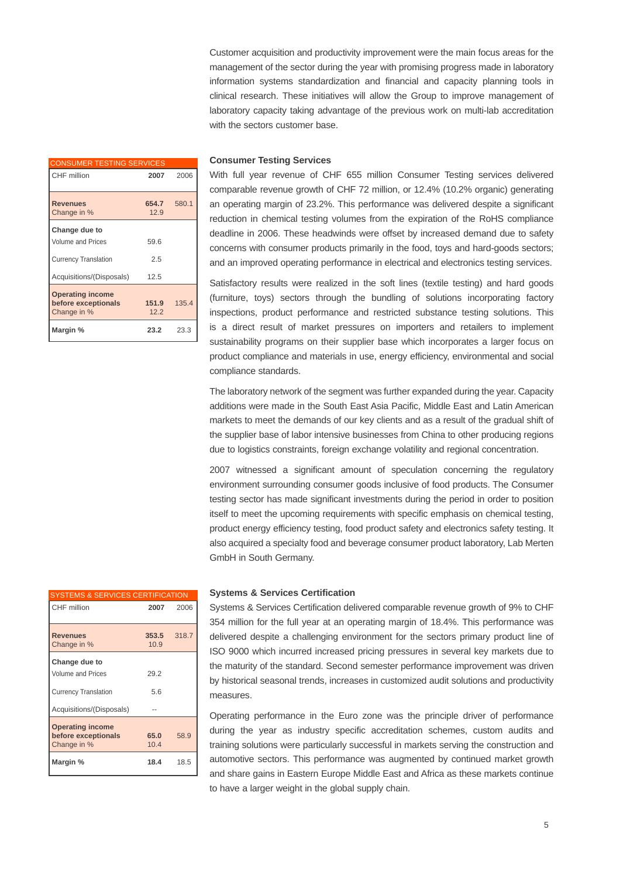Customer acquisition and productivity improvement were the main focus areas for the management of the sector during the year with promising progress made in laboratory information systems standardization and financial and capacity planning tools in clinical research. These initiatives will allow the Group to improve management of laboratory capacity taking advantage of the previous work on multi-lab accreditation with the sectors customer base.

| <b>CONSUMER TESTING SERVICES</b>                              |               |       |
|---------------------------------------------------------------|---------------|-------|
| CHF million                                                   | 2007          | 2006  |
| <b>Revenues</b><br>Change in %                                | 654.7<br>12.9 | 580.1 |
| Change due to<br>Volume and Prices                            | 59.6          |       |
| <b>Currency Translation</b>                                   | 2.5           |       |
| Acquisitions/(Disposals)                                      | 12.5          |       |
| <b>Operating income</b><br>before exceptionals<br>Change in % | 151.9<br>12.2 | 135.4 |
| Margin %                                                      | 23.2          | 23.3  |

#### **Consumer Testing Services**

With full year revenue of CHF 655 million Consumer Testing services delivered comparable revenue growth of CHF 72 million, or 12.4% (10.2% organic) generating an operating margin of 23.2%. This performance was delivered despite a significant reduction in chemical testing volumes from the expiration of the RoHS compliance deadline in 2006. These headwinds were offset by increased demand due to safety concerns with consumer products primarily in the food, toys and hard-goods sectors; and an improved operating performance in electrical and electronics testing services.

Satisfactory results were realized in the soft lines (textile testing) and hard goods (furniture, toys) sectors through the bundling of solutions incorporating factory inspections, product performance and restricted substance testing solutions. This is a direct result of market pressures on importers and retailers to implement sustainability programs on their supplier base which incorporates a larger focus on product compliance and materials in use, energy efficiency, environmental and social compliance standards.

The laboratory network of the segment was further expanded during the year. Capacity additions were made in the South East Asia Pacific, Middle East and Latin American markets to meet the demands of our key clients and as a result of the gradual shift of the supplier base of labor intensive businesses from China to other producing regions due to logistics constraints, foreign exchange volatility and regional concentration.

2007 witnessed a significant amount of speculation concerning the regulatory environment surrounding consumer goods inclusive of food products. The Consumer testing sector has made significant investments during the period in order to position itself to meet the upcoming requirements with specific emphasis on chemical testing, product energy efficiency testing, food product safety and electronics safety testing. It also acquired a specialty food and beverage consumer product laboratory, Lab Merten GmbH in South Germany.

| <b>SYSTEMS &amp; SERVICES CERTIFICATION</b>                   |               |       |
|---------------------------------------------------------------|---------------|-------|
| CHF million                                                   | 2007          | 2006  |
| <b>Revenues</b><br>Change in %                                | 353.5<br>10.9 | 318.7 |
| Change due to<br>Volume and Prices                            | 29.2          |       |
| <b>Currency Translation</b>                                   | 5.6           |       |
| Acquisitions/(Disposals)                                      |               |       |
| <b>Operating income</b><br>before exceptionals<br>Change in % | 65.0<br>10.4  | 58.9  |
| Margin %                                                      | 18.4          | 18.5  |

#### **Systems & Services Certification**

Systems & Services Certification delivered comparable revenue growth of 9% to CHF 354 million for the full year at an operating margin of 18.4%. This performance was delivered despite a challenging environment for the sectors primary product line of ISO 9000 which incurred increased pricing pressures in several key markets due to the maturity of the standard. Second semester performance improvement was driven by historical seasonal trends, increases in customized audit solutions and productivity measures.

Operating performance in the Euro zone was the principle driver of performance during the year as industry specific accreditation schemes, custom audits and training solutions were particularly successful in markets serving the construction and automotive sectors. This performance was augmented by continued market growth and share gains in Eastern Europe Middle East and Africa as these markets continue to have a larger weight in the global supply chain.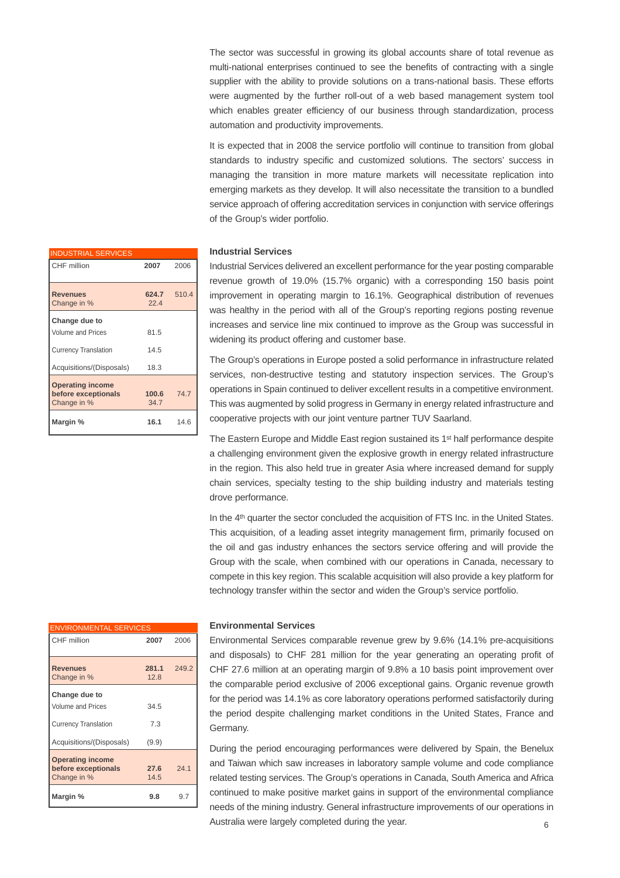The sector was successful in growing its global accounts share of total revenue as multi-national enterprises continued to see the benefits of contracting with a single supplier with the ability to provide solutions on a trans-national basis. These efforts were augmented by the further roll-out of a web based management system tool which enables greater efficiency of our business through standardization, process automation and productivity improvements.

It is expected that in 2008 the service portfolio will continue to transition from global standards to industry specific and customized solutions. The sectors' success in managing the transition in more mature markets will necessitate replication into emerging markets as they develop. It will also necessitate the transition to a bundled service approach of offering accreditation services in conjunction with service offerings of the Group's wider portfolio.

#### **Industrial Services**

Industrial Services delivered an excellent performance for the year posting comparable revenue growth of 19.0% (15.7% organic) with a corresponding 150 basis point improvement in operating margin to 16.1%. Geographical distribution of revenues was healthy in the period with all of the Group's reporting regions posting revenue increases and service line mix continued to improve as the Group was successful in widening its product offering and customer base.

The Group's operations in Europe posted a solid performance in infrastructure related services, non-destructive testing and statutory inspection services. The Group's operations in Spain continued to deliver excellent results in a competitive environment. This was augmented by solid progress in Germany in energy related infrastructure and cooperative projects with our joint venture partner TUV Saarland.

The Eastern Europe and Middle East region sustained its 1<sup>st</sup> half performance despite a challenging environment given the explosive growth in energy related infrastructure in the region. This also held true in greater Asia where increased demand for supply chain services, specialty testing to the ship building industry and materials testing drove performance.

In the 4<sup>th</sup> quarter the sector concluded the acquisition of FTS Inc. in the United States. This acquisition, of a leading asset integrity management firm, primarily focused on the oil and gas industry enhances the sectors service offering and will provide the Group with the scale, when combined with our operations in Canada, necessary to compete in this key region. This scalable acquisition will also provide a key platform for technology transfer within the sector and widen the Group's service portfolio.

| <b>ENVIRONMENTAL SERVICES</b>                                 |               |       |
|---------------------------------------------------------------|---------------|-------|
| CHF million                                                   | 2007          | 2006  |
| <b>Revenues</b><br>Change in %                                | 281.1<br>12.8 | 249.2 |
| Change due to                                                 |               |       |
| <b>Volume and Prices</b>                                      | 34.5          |       |
| <b>Currency Translation</b>                                   | 7.3           |       |
| Acquisitions/(Disposals)                                      | (9.9)         |       |
| <b>Operating income</b><br>before exceptionals<br>Change in % | 27.6<br>14.5  | 24.1  |
| Margin %                                                      | 9.8           | 9.7   |

#### **Environmental Services**

Environmental Services comparable revenue grew by 9.6% (14.1% pre-acquisitions and disposals) to CHF 281 million for the year generating an operating profit of CHF 27.6 million at an operating margin of 9.8% a 10 basis point improvement over the comparable period exclusive of 2006 exceptional gains. Organic revenue growth for the period was 14.1% as core laboratory operations performed satisfactorily during the period despite challenging market conditions in the United States, France and Germany.

During the period encouraging performances were delivered by Spain, the Benelux and Taiwan which saw increases in laboratory sample volume and code compliance related testing services. The Group's operations in Canada, South America and Africa continued to make positive market gains in support of the environmental compliance needs of the mining industry. General infrastructure improvements of our operations in Australia were largely completed during the year.<br>
6

| <b>INDUSTRIAL SERVICES</b>                                    |               |       |
|---------------------------------------------------------------|---------------|-------|
| CHF million                                                   | 2007          | 2006  |
| <b>Revenues</b><br>Change in %                                | 624.7<br>22.4 | 510.4 |
| Change due to                                                 |               |       |
| Volume and Prices                                             | 81.5          |       |
| <b>Currency Translation</b>                                   | 14.5          |       |
| Acquisitions/(Disposals)                                      | 18.3          |       |
| <b>Operating income</b><br>before exceptionals<br>Change in % | 100.6<br>34.7 | 74.7  |
| Margin %                                                      | 16.1          | 14.6  |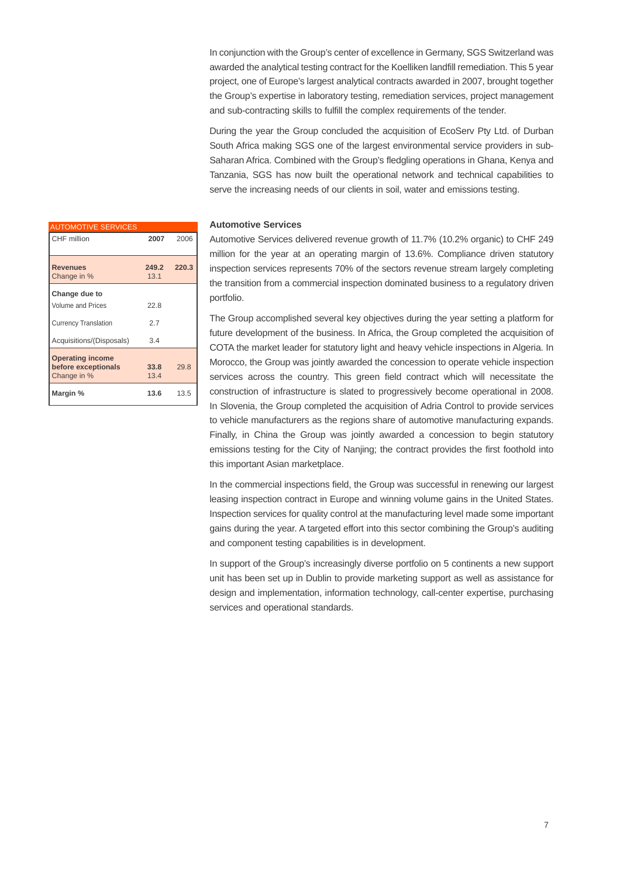In conjunction with the Group's center of excellence in Germany, SGS Switzerland was awarded the analytical testing contract for the Koelliken landfill remediation. This 5 year project, one of Europe's largest analytical contracts awarded in 2007, brought together the Group's expertise in laboratory testing, remediation services, project management and sub-contracting skills to fulfill the complex requirements of the tender.

During the year the Group concluded the acquisition of EcoServ Pty Ltd. of Durban South Africa making SGS one of the largest environmental service providers in sub-Saharan Africa. Combined with the Group's fledgling operations in Ghana, Kenya and Tanzania, SGS has now built the operational network and technical capabilities to serve the increasing needs of our clients in soil, water and emissions testing.

#### **Automotive Services**

Automotive Services delivered revenue growth of 11.7% (10.2% organic) to CHF 249 million for the year at an operating margin of 13.6%. Compliance driven statutory inspection services represents 70% of the sectors revenue stream largely completing the transition from a commercial inspection dominated business to a regulatory driven portfolio.

The Group accomplished several key objectives during the year setting a platform for future development of the business. In Africa, the Group completed the acquisition of COTA the market leader for statutory light and heavy vehicle inspections in Algeria. In Morocco, the Group was jointly awarded the concession to operate vehicle inspection services across the country. This green field contract which will necessitate the construction of infrastructure is slated to progressively become operational in 2008. In Slovenia, the Group completed the acquisition of Adria Control to provide services to vehicle manufacturers as the regions share of automotive manufacturing expands. Finally, in China the Group was jointly awarded a concession to begin statutory emissions testing for the City of Nanjing; the contract provides the first foothold into this important Asian marketplace.

In the commercial inspections field, the Group was successful in renewing our largest leasing inspection contract in Europe and winning volume gains in the United States. Inspection services for quality control at the manufacturing level made some important gains during the year. A targeted effort into this sector combining the Group's auditing and component testing capabilities is in development.

In support of the Group's increasingly diverse portfolio on 5 continents a new support unit has been set up in Dublin to provide marketing support as well as assistance for design and implementation, information technology, call-center expertise, purchasing services and operational standards.

| <b>AUTOMOTIVE SERVICES</b>                                    |               |       |
|---------------------------------------------------------------|---------------|-------|
| CHF million                                                   | 2007          | 2006  |
| <b>Revenues</b><br>Change in %                                | 249.2<br>13.1 | 220.3 |
| Change due to<br>Volume and Prices                            | 22.8          |       |
| <b>Currency Translation</b>                                   | 2.7           |       |
| Acquisitions/(Disposals)                                      | 3.4           |       |
| <b>Operating income</b><br>before exceptionals<br>Change in % | 33.8<br>13.4  | 29.8  |
| Margin %                                                      | 13.6          | 13.5  |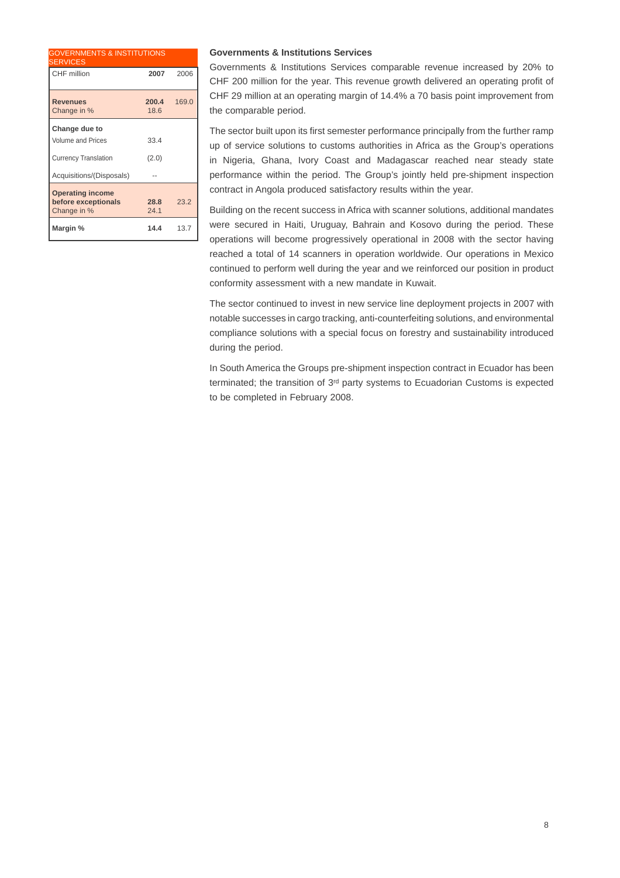| <b>GOVERNMENTS &amp; INSTITUTIONS</b><br><b>SERVICES</b>      |               |       |
|---------------------------------------------------------------|---------------|-------|
| CHF million                                                   | 2007          | 2006  |
| <b>Revenues</b><br>Change in %                                | 200.4<br>18.6 | 169.0 |
| Change due to<br><b>Volume and Prices</b>                     | 33.4          |       |
| <b>Currency Translation</b>                                   | (2.0)         |       |
| Acquisitions/(Disposals)                                      |               |       |
| <b>Operating income</b><br>before exceptionals<br>Change in % | 28.8<br>24.1  | 23.2  |
| Margin %                                                      | 14.4          | 13.7  |

## **Governments & Institutions Services**

Governments & Institutions Services comparable revenue increased by 20% to CHF 200 million for the year. This revenue growth delivered an operating profit of CHF 29 million at an operating margin of 14.4% a 70 basis point improvement from the comparable period.

The sector built upon its first semester performance principally from the further ramp up of service solutions to customs authorities in Africa as the Group's operations in Nigeria, Ghana, Ivory Coast and Madagascar reached near steady state performance within the period. The Group's jointly held pre-shipment inspection contract in Angola produced satisfactory results within the year.

Building on the recent success in Africa with scanner solutions, additional mandates were secured in Haiti, Uruguay, Bahrain and Kosovo during the period. These operations will become progressively operational in 2008 with the sector having reached a total of 14 scanners in operation worldwide. Our operations in Mexico continued to perform well during the year and we reinforced our position in product conformity assessment with a new mandate in Kuwait.

The sector continued to invest in new service line deployment projects in 2007 with notable successes in cargo tracking, anti-counterfeiting solutions, and environmental compliance solutions with a special focus on forestry and sustainability introduced during the period.

In South America the Groups pre-shipment inspection contract in Ecuador has been terminated; the transition of 3rd party systems to Ecuadorian Customs is expected to be completed in February 2008.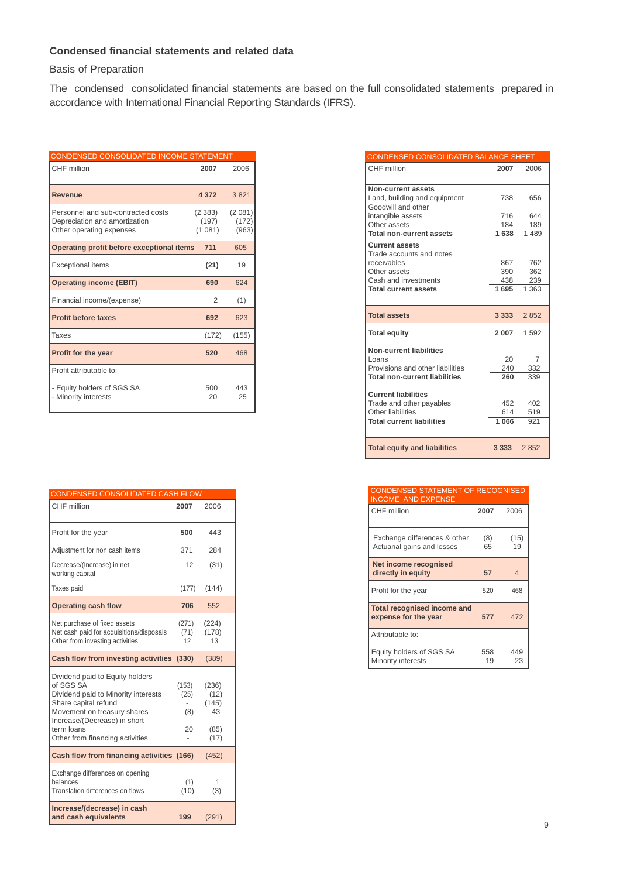## **Condensed financial statements and related data**

Basis of Preparation

The condensed consolidated financial statements are based on the full consolidated statements prepared in accordance with International Financial Reporting Standards (IFRS).

| CONDENSED CONSOLIDATED INCOME STATEMENT                                                         |                           |                          |
|-------------------------------------------------------------------------------------------------|---------------------------|--------------------------|
| CHF million                                                                                     | 2007                      | 2006                     |
| <b>Revenue</b>                                                                                  | 4 3 7 2                   | 3821                     |
| Personnel and sub-contracted costs<br>Depreciation and amortization<br>Other operating expenses | (2383)<br>(197)<br>(1081) | (2081)<br>(172)<br>(963) |
| Operating profit before exceptional items                                                       | 711                       | 605                      |
| <b>Exceptional items</b>                                                                        | (21)                      | 19                       |
| <b>Operating income (EBIT)</b>                                                                  | 690                       | 624                      |
| Financial income/(expense)                                                                      | 2                         | (1)                      |
| <b>Profit before taxes</b>                                                                      | 692                       | 623                      |
| Taxes                                                                                           | (172)                     | (155)                    |
| Profit for the year                                                                             | 520                       | 468                      |
| Profit attributable to:                                                                         |                           |                          |
| - Equity holders of SGS SA<br>- Minority interests                                              | 500<br>20                 | 443<br>25                |

| <b>CONDENSED CONSOLIDATED CASH FLOW</b>                                                                                                                                                                                     |                                  |                                              |
|-----------------------------------------------------------------------------------------------------------------------------------------------------------------------------------------------------------------------------|----------------------------------|----------------------------------------------|
| CHF million                                                                                                                                                                                                                 | 2007                             | 2006                                         |
| Profit for the year                                                                                                                                                                                                         | 500                              | 443                                          |
| Adjustment for non cash items                                                                                                                                                                                               | 371                              | 284                                          |
| Decrease/(Increase) in net<br>working capital                                                                                                                                                                               | 12                               | (31)                                         |
| Taxes paid                                                                                                                                                                                                                  | (177)                            | (144)                                        |
| <b>Operating cash flow</b>                                                                                                                                                                                                  | 706                              | 552                                          |
| Net purchase of fixed assets                                                                                                                                                                                                | (271)                            | (224)                                        |
| Net cash paid for acquisitions/disposals<br>Other from investing activities                                                                                                                                                 | (71)<br>12                       | (178)<br>13                                  |
| Cash flow from investing activities (330)                                                                                                                                                                                   |                                  | (389)                                        |
| Dividend paid to Equity holders<br>of SGS SA<br>Dividend paid to Minority interests<br>Share capital refund<br>Movement on treasury shares<br>Increase/(Decrease) in short<br>term loans<br>Other from financing activities | (153)<br>(25)<br>(8)<br>20<br>÷, | (236)<br>(12)<br>(145)<br>43<br>(85)<br>(17) |
| Cash flow from financing activities (166)                                                                                                                                                                                   |                                  | (452)                                        |
| Exchange differences on opening<br>balances<br>Translation differences on flows                                                                                                                                             | (1)<br>(10)                      | 1<br>(3)                                     |
| Increase/(decrease) in cash<br>and cash equivalents                                                                                                                                                                         | 199                              | (291)                                        |

| CONDENSED CONSOLIDATED BALANCE SHEET                                                                     |                   |                   |
|----------------------------------------------------------------------------------------------------------|-------------------|-------------------|
| CHF million                                                                                              | 2007              | 2006              |
| Non-current assets<br>Land, building and equipment<br>Goodwill and other                                 | 738               | 656               |
| intangible assets<br>Other assets                                                                        | 716<br>184        | 644<br>189        |
| <b>Total non-current assets</b>                                                                          | 1638              | 1489              |
| <b>Current assets</b><br>Trade accounts and notes<br>receivables<br>Other assets<br>Cash and investments | 867<br>390<br>438 | 762<br>362<br>239 |
| <b>Total current assets</b>                                                                              | 1695              | 1 363             |
|                                                                                                          |                   |                   |
| <b>Total assets</b>                                                                                      | 3 3 3 3           | 2852              |
| <b>Total equity</b>                                                                                      | 2 0 0 7           | 1 592             |
| <b>Non-current liabilities</b><br>Loans<br>Provisions and other liabilities                              | 20<br>240         | 7<br>332          |
| <b>Total non-current liabilities</b>                                                                     | 260               | 339               |
| <b>Current liabilities</b>                                                                               |                   |                   |
| Trade and other payables<br>Other liabilities                                                            | 452<br>614        | 402<br>519        |
| <b>Total current liabilities</b>                                                                         | 1066              | 921               |
|                                                                                                          |                   |                   |
| <b>Total equity and liabilities</b>                                                                      |                   | 2852              |

| <b>CONDENSED STATEMENT OF RECOGNISED</b><br><b>INCOME AND EXPENSE</b> |           |            |
|-----------------------------------------------------------------------|-----------|------------|
| CHF million                                                           | 2007      | 2006       |
| Exchange differences & other<br>Actuarial gains and losses            | (8)<br>65 | (15)<br>19 |
| Net income recognised<br>directly in equity                           | 57        | 4          |
| Profit for the year                                                   | 520       | 468        |
| <b>Total recognised income and</b><br>expense for the year            | 577       | 472        |
| Attributable to:                                                      |           |            |
| Equity holders of SGS SA<br>Minority interests                        | 558<br>19 | 449<br>23  |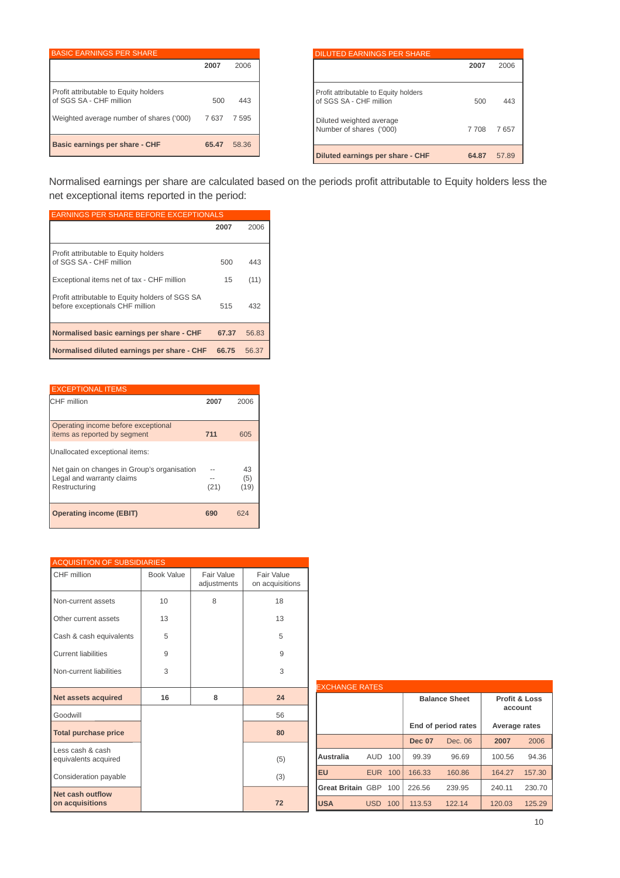| <b>BASIC EARNINGS PER SHARE</b>                                  |       |       |
|------------------------------------------------------------------|-------|-------|
|                                                                  | 2007  | 2006  |
| Profit attributable to Equity holders<br>of SGS SA - CHF million | 500   | 443   |
| Weighted average number of shares ('000)                         | 7637  | 7595  |
| Basic earnings per share - CHF                                   | 65.47 | 58.36 |

| <b>DILUTED EARNINGS PER SHARE</b>                                |         |       |
|------------------------------------------------------------------|---------|-------|
|                                                                  | 2007    | 2006  |
|                                                                  |         |       |
| Profit attributable to Equity holders<br>of SGS SA - CHF million | 500     | 443   |
| Diluted weighted average<br>Number of shares ('000)              | 7 7 0 8 | 7657  |
| Diluted earnings per share - CHF                                 | 64.87   | 57.89 |

Normalised earnings per share are calculated based on the periods profit attributable to Equity holders less the net exceptional items reported in the period:

| <b>EARNINGS PER SHARE BEFORE EXCEPTIONALS</b>                                      |       |       |
|------------------------------------------------------------------------------------|-------|-------|
|                                                                                    | 2007  | 2006  |
| Profit attributable to Equity holders<br>of SGS SA - CHF million                   | 500   | 443   |
| Exceptional items net of tax - CHF million                                         | 15    | (11)  |
| Profit attributable to Equity holders of SGS SA<br>before exceptionals CHF million | 515   | 432   |
| Normalised basic earnings per share - CHF                                          | 67.37 | 56.83 |
| Normalised diluted earnings per share - CHF                                        | 66.75 | 56.37 |

| <b>EXCEPTIONAL ITEMS</b>                                                                  |      |                   |
|-------------------------------------------------------------------------------------------|------|-------------------|
| CHF million                                                                               | 2007 | 2006              |
|                                                                                           |      |                   |
| Operating income before exceptional<br>items as reported by segment                       | 711  | 605               |
| Unallocated exceptional items:                                                            |      |                   |
| Net gain on changes in Group's organisation<br>Legal and warranty claims<br>Restructuring | (21) | 43<br>(5)<br>(19) |
| <b>Operating income (EBIT)</b>                                                            | 690  | 624               |

| <b>ACQUISITION OF SUBSIDIARIES</b>       |            |                           |                               |  |
|------------------------------------------|------------|---------------------------|-------------------------------|--|
| CHF million                              | Book Value | Fair Value<br>adjustments | Fair Value<br>on acquisitions |  |
| Non-current assets                       | 10         | 8                         | 18                            |  |
| Other current assets                     | 13         |                           | 13                            |  |
| Cash & cash equivalents                  | 5          |                           | 5                             |  |
| <b>Current liabilities</b>               | 9          |                           | 9                             |  |
| Non-current liabilities                  | 3          |                           | 3                             |  |
| <b>Net assets acquired</b>               | 16         | 8                         | 24                            |  |
| Goodwill                                 |            |                           | 56                            |  |
| <b>Total purchase price</b>              |            |                           | 80                            |  |
| Less cash & cash<br>equivalents acquired |            |                           | (5)                           |  |
| Consideration payable                    |            |                           | (3)                           |  |
| Net cash outflow<br>on acquisitions      |            |                           | 72                            |  |

| <b>EXCHANGE RATES</b>    |            |     |               |                      |                                     |        |
|--------------------------|------------|-----|---------------|----------------------|-------------------------------------|--------|
|                          |            |     |               | <b>Balance Sheet</b> | <b>Profit &amp; Loss</b><br>account |        |
|                          |            |     |               | End of period rates  | Average rates                       |        |
|                          |            |     | <b>Dec 07</b> | Dec. 06              | 2007                                | 2006   |
| Australia                | <b>AUD</b> | 100 | 99.39         | 96.69                | 100.56                              | 94.36  |
| <b>EU</b>                | <b>EUR</b> | 100 | 166.33        | 160.86               | 164.27                              | 157.30 |
| <b>Great Britain GBP</b> |            | 100 | 226.56        | 239.95               | 240.11                              | 230.70 |
| <b>USA</b>               | <b>USD</b> | 100 | 113.53        | 122.14               | 120.03                              | 125.29 |